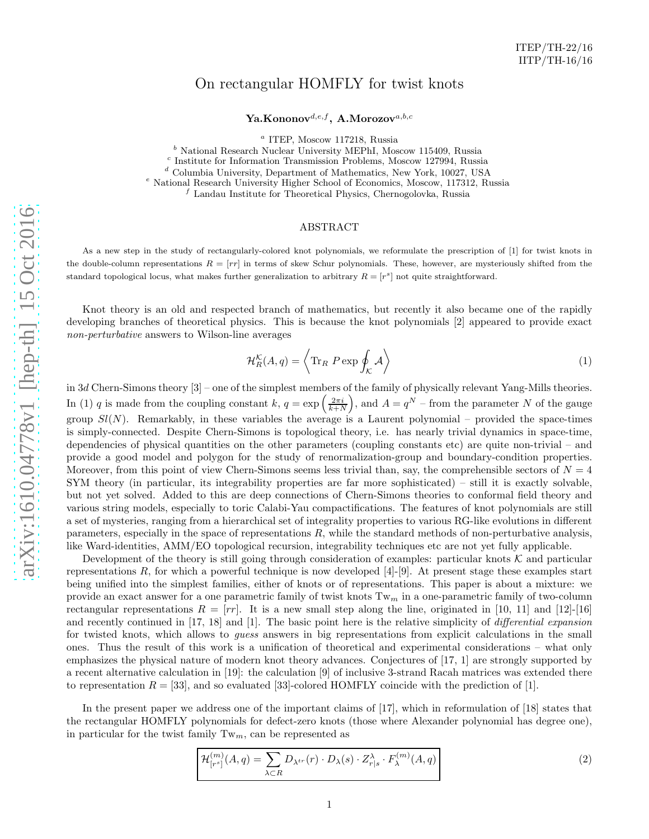## On rectangular HOMFLY for twist knots

Ya.Kononov $^{d,e,f}$ , A.Morozov $^{a,b,c}$ 

<sup>a</sup> ITEP, Moscow 117218, Russia

 $<sup>b</sup>$  National Research Nuclear University MEPhI, Moscow 115409, Russia</sup>

c Institute for Information Transmission Problems, Moscow 127994, Russia

<sup>d</sup> Columbia University, Department of Mathematics, New York, 10027, USA

<sup>e</sup> National Research University Higher School of Economics, Moscow, 117312, Russia

 $f$  Landau Institute for Theoretical Physics, Chernogolovka, Russia

## ABSTRACT

As a new step in the study of rectangularly-colored knot polynomials, we reformulate the prescription of [1] for twist knots in the double-column representations  $R = [rr]$  in terms of skew Schur polynomials. These, however, are mysteriously shifted from the standard topological locus, what makes further generalization to arbitrary  $R = [r^s]$  not quite straightforward.

Knot theory is an old and respected branch of mathematics, but recently it also became one of the rapidly developing branches of theoretical physics. This is because the knot polynomials [2] appeared to provide exact non-perturbative answers to Wilson-line averages

$$
\mathcal{H}_R^{\mathcal{K}}(A,q) = \left\langle \text{Tr}_R \ P \exp \oint_{\mathcal{K}} \mathcal{A} \right\rangle \tag{1}
$$

in 3 d Chern-Simons theory [3] – one of the simplest members of the family of physically relevant Yang-Mills theories. In (1) q is made from the coupling constant  $k, q = \exp\left(\frac{2\pi i}{k+N}\right)$ , and  $A = q^N$  – from the parameter N of the gauge group  $Sl(N)$ . Remarkably, in these variables the average is a Laurent polynomial – provided the space-times is simply-connected. Despite Chern-Simons is topological theory, i.e. has nearly trivial dynamics in space-time, dependencies of physical quantities on the other parameters (coupling constants etc) are quite non-trivial – and provide a good model and polygon for the study of renormalization-group and boundary-condition properties. Moreover, from this point of view Chern-Simons seems less trivial than, say, the comprehensible sectors of  $N=4$ SYM theory (in particular, its integrability properties are far more sophisticated) – still it is exactly solvable, but not yet solved. Added to this are deep connections of Chern-Simons theories to conformal field theory and various string models, especially to toric Calabi-Yau compactifications. The features of knot polynomials are still a set of mysteries, ranging from a hierarchical set of integrality properties to various RG-like evolutions in different parameters, especially in the space of representations R, while the standard methods of non-perturbative analysis, like Ward-identities, AMM/EO topological recursion, integrability techniques etc are not yet fully applicable.

Development of the theory is still going through consideration of examples: particular knots  $K$  and particular representations R, for which a powerful technique is now developed [4]-[9]. At present stage these examples start being unified into the simplest families, either of knots or of representations. This paper is about a mixture: we provide an exact answer for a one parametric family of twist knots  $Tw<sub>m</sub>$  in a one-parametric family of two-column rectangular representations  $R = [rr]$ . It is a new small step along the line, originated in [10, 11] and [12]-[16] and recently continued in [17, 18] and [1]. The basic point here is the relative simplicity of *differential expansion* for twisted knots, which allows to guess answers in big representations from explicit calculations in the small ones. Thus the result of this work is a unification of theoretical and experimental considerations – what only emphasizes the physical nature of modern knot theory advances. Conjectures of [17, 1] are strongly supported by a recent alternative calculation in [19]: the calculation [9] of inclusive 3-strand Racah matrices was extended there to representation  $R = [33]$ , and so evaluated [33]-colored HOMFLY coincide with the prediction of [1].

In the present paper we address one of the important claims of [17], which in reformulation of [18] states that the rectangular HOMFLY polynomials for defect-zero knots (those where Alexander polynomial has degree one), in particular for the twist family  $Tw<sub>m</sub>$ , can be represented as

$$
\mathcal{H}_{[r^s]}^{(m)}(A,q) = \sum_{\lambda \subset R} D_{\lambda^{tr}}(r) \cdot D_{\lambda}(s) \cdot Z_{r|s}^{\lambda} \cdot F_{\lambda}^{(m)}(A,q)
$$
\n(2)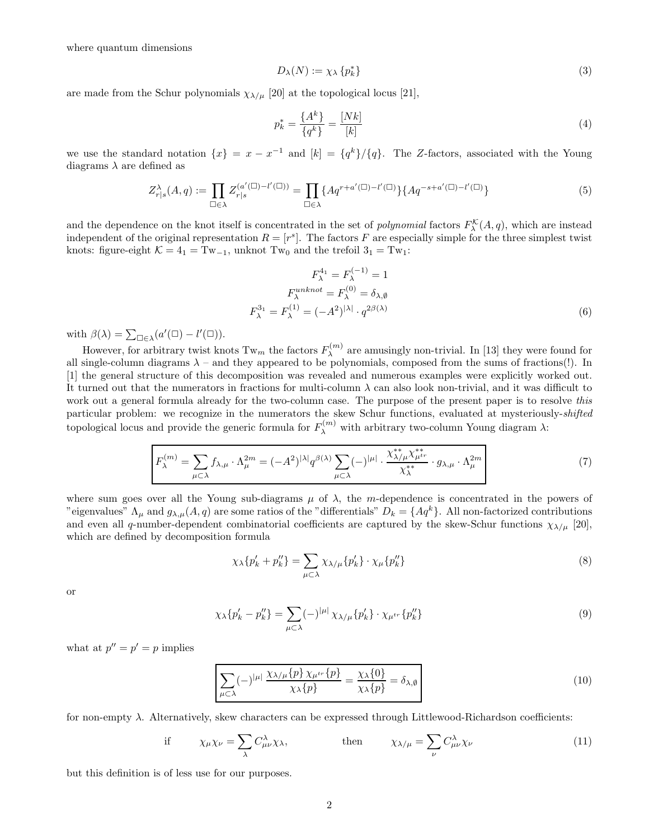where quantum dimensions

$$
D_{\lambda}(N) := \chi_{\lambda} \{ p_k^* \}
$$
\n<sup>(3)</sup>

are made from the Schur polynomials  $\chi_{\lambda/\mu}$  [20] at the topological locus [21],

$$
p_k^* = \frac{\{A^k\}}{\{q^k\}} = \frac{[Nk]}{[k]} \tag{4}
$$

we use the standard notation  $\{x\} = x - x^{-1}$  and  $[k] = \{q^k\}/\{q\}$ . The Z-factors, associated with the Young diagrams  $\lambda$  are defined as

$$
Z_{r|s}^{\lambda}(A,q) := \prod_{\square \in \lambda} Z_{r|s}^{(a'(\square) - l'(\square))} = \prod_{\square \in \lambda} \{ Aq^{r+a'(\square) - l'(\square)} \} \{ Aq^{-s+a'(\square) - l'(\square)} \}
$$
(5)

and the dependence on the knot itself is concentrated in the set of *polynomial* factors  $F_{\lambda}^{\mathcal{K}}(A, q)$ , which are instead independent of the original representation  $R = [r^s]$ . The factors F are especially simple for the three simplest twist knots: figure-eight  $K = 4<sub>1</sub> = Tw<sub>-1</sub>$ , unknot Tw<sub>0</sub> and the trefoil  $3<sub>1</sub> = Tw<sub>1</sub>$ :

$$
F_{\lambda}^{4_1} = F_{\lambda}^{(-1)} = 1
$$
  
\n
$$
F_{\lambda}^{unknown} = F_{\lambda}^{(0)} = \delta_{\lambda, \emptyset}
$$
  
\n
$$
F_{\lambda}^{3_1} = F_{\lambda}^{(1)} = (-A^2)^{|\lambda|} \cdot q^{2\beta(\lambda)}
$$
\n(6)

with  $\beta(\lambda) = \sum_{\square \in \lambda} (a'(\square) - l'(\square)).$ 

However, for arbitrary twist knots  $Tw_m$  the factors  $F_{\lambda}^{(m)}$  $\lambda^{(m)}$  are amusingly non-trivial. In [13] they were found for all single-column diagrams  $\lambda$  – and they appeared to be polynomials, composed from the sums of fractions(!). In [1] the general structure of this decomposition was revealed and numerous examples were explicitly worked out. It turned out that the numerators in fractions for multi-column  $\lambda$  can also look non-trivial, and it was difficult to work out a general formula already for the two-column case. The purpose of the present paper is to resolve this particular problem: we recognize in the numerators the skew Schur functions, evaluated at mysteriously-shifted topological locus and provide the generic formula for  $F_{\lambda}^{(m)}$  with arbitrary two-column Young diagram  $\lambda$ :

$$
F_{\lambda}^{(m)} = \sum_{\mu \subset \lambda} f_{\lambda,\mu} \cdot \Lambda_{\mu}^{2m} = (-A^2)^{|\lambda|} q^{\beta(\lambda)} \sum_{\mu \subset \lambda} (-)^{|\mu|} \cdot \frac{\chi_{\lambda/\mu}^{**} \chi_{\mu}^{**}}{\chi_{\lambda}^{**}} \cdot g_{\lambda,\mu} \cdot \Lambda_{\mu}^{2m}
$$
(7)

where sum goes over all the Young sub-diagrams  $\mu$  of  $\lambda$ , the m-dependence is concentrated in the powers of "eigenvalues"  $\Lambda_{\mu}$  and  $g_{\lambda,\mu}(A,q)$  are some ratios of the "differentials"  $D_k = \{Aq^k\}$ . All non-factorized contributions and even all q-number-dependent combinatorial coefficients are captured by the skew-Schur functions  $\chi_{\lambda/\mu}$  [20], which are defined by decomposition formula

$$
\chi_{\lambda}\{p'_{k}+p''_{k}\}=\sum_{\mu\subset\lambda}\chi_{\lambda/\mu}\{p'_{k}\}\cdot\chi_{\mu}\{p''_{k}\}\tag{8}
$$

or

$$
\chi_{\lambda}\{p'_{k} - p''_{k}\} = \sum_{\mu \subset \lambda} (-)^{|\mu|} \chi_{\lambda/\mu}\{p'_{k}\} \cdot \chi_{\mu^{tr}}\{p''_{k}\}\tag{9}
$$

what at  $p'' = p' = p$  implies

$$
\sum_{\mu \subset \lambda} (-)^{|\mu|} \frac{\chi_{\lambda/\mu} \{p\} \chi_{\mu^{tr}} \{p\}}{\chi_{\lambda} \{p\}} = \frac{\chi_{\lambda} \{0\}}{\chi_{\lambda} \{p\}} = \delta_{\lambda, \emptyset}
$$
\n(10)

for non-empty  $\lambda$ . Alternatively, skew characters can be expressed through Littlewood-Richardson coefficients:

if 
$$
\chi_{\mu}\chi_{\nu} = \sum_{\lambda} C^{\lambda}_{\mu\nu}\chi_{\lambda}
$$
, then  $\chi_{\lambda/\mu} = \sum_{\nu} C^{\lambda}_{\mu\nu}\chi_{\nu}$  (11)

but this definition is of less use for our purposes.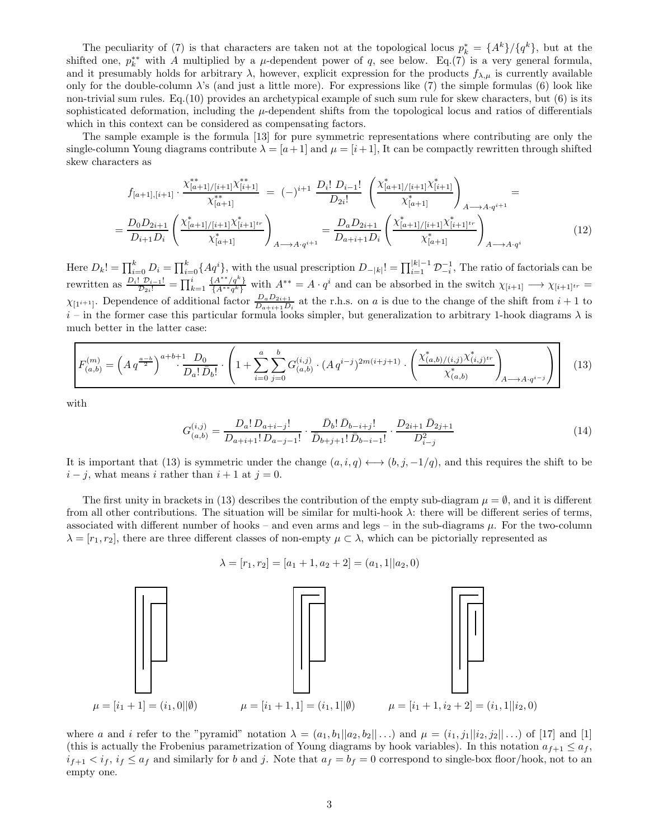The peculiarity of (7) is that characters are taken not at the topological locus  $p_k^* = \{A^k\}/\{q^k\}$ , but at the shifted one,  $p_k^{**}$  with A multiplied by a  $\mu$ -dependent power of q, see below. Eq.(7) is a very general formula, and it presumably holds for arbitrary  $\lambda$ , however, explicit expression for the products  $f_{\lambda,\mu}$  is currently available only for the double-column  $\lambda$ 's (and just a little more). For expressions like (7) the simple formulas (6) look like non-trivial sum rules. Eq.(10) provides an archetypical example of such sum rule for skew characters, but (6) is its sophisticated deformation, including the  $\mu$ -dependent shifts from the topological locus and ratios of differentials which in this context can be considered as compensating factors.

The sample example is the formula [13] for pure symmetric representations where contributing are only the single-column Young diagrams contribute  $\lambda = [a+1]$  and  $\mu = [i+1]$ , It can be compactly rewritten through shifted skew characters as

$$
f_{[a+1],[i+1]} \cdot \frac{\chi_{[a+1]/[i+1]}^{**}\chi_{[i+1]}^{**}}{\chi_{[a+1]}^{**}} = (-)^{i+1} \frac{D_i! \ D_{i-1}!}{D_{2i}!} \left(\frac{\chi_{[a+1]/[i+1]}^{*}\chi_{[i+1]}^{*}}{\chi_{[a+1]}^{*}}\right)_{A \longrightarrow A \cdot q^{i+1}} = \frac{D_0 D_{2i+1}}{D_{i+1} D_i} \left(\frac{\chi_{[a+1]/[i+1]}^{*}\chi_{[i+1]}^{*}}{\chi_{[a+1]}^{*}}\right)_{A \longrightarrow A \cdot q^{i+1}} = \frac{D_a D_{2i+1}}{D_{a+i+1} D_i} \left(\frac{\chi_{[a+1]/[i+1]}^{*}\chi_{[i+1]}^{*}}{\chi_{[a+1]}^{*}}\right)_{A \longrightarrow A \cdot q^{i}} \tag{12}
$$

Here  $D_k! = \prod_{i=0}^k D_i = \prod_{i=0}^k \{Aq^i\}$ , with the usual prescription  $D_{-|k|}! = \prod_{i=1}^{|k|-1} \mathcal{D}_{-i}^{-1}$ , The ratio of factorials can be rewritten as  $\frac{D_i! \ \mathcal{D}_{i-1}!}{\mathcal{D}_{2i}!} = \prod_{k=1}^i \frac{\{A^{**}/q^k\}}{\{A^{**}q^k\}}$  ${A^{**}q^a \over \{A^{**}q^k\}}$  with  $A^{**} = A \cdot q^i$  and can be absorbed in the switch  $\chi_{[i+1]} \longrightarrow \chi_{[i+1]^{tr}} =$  $\chi_{[1^{i+1}]}.$  Dependence of additional factor  $\frac{D_a D_{2i+1}}{D_{a+i+1} D_i}$  at the r.h.s. on a is due to the change of the shift from  $i+1$  to  $i$  – in the former case this particular formula looks simpler, but generalization to arbitrary 1-hook diagrams  $\lambda$  is much better in the latter case:

$$
F_{(a,b)}^{(m)} = \left(Aq^{\frac{a-b}{2}}\right)^{a+b+1} \frac{D_0}{D_a! \, \bar{D}_b!} \cdot \left(1 + \sum_{i=0}^a \sum_{j=0}^b G_{(a,b)}^{(i,j)} \cdot (Aq^{i-j})^{2m(i+j+1)} \cdot \left(\frac{\chi_{(a,b)/(i,j)}^* \chi_{(i,j)}^*}{\chi_{(a,b)}^*}\right)_{A \longrightarrow A \cdot q^{i-j}}\right) \tag{13}
$$

with

$$
G_{(a,b)}^{(i,j)} = \frac{D_a! \, D_{a+i-j}!}{D_{a+i+1}! \, D_{a-j-1}!} \cdot \frac{\bar{D}_b! \, \bar{D}_{b-i+j}!}{\bar{D}_{b+j+1}! \, \bar{D}_{b-i-1}!} \cdot \frac{D_{2i+1} \, \bar{D}_{2j+1}}{D_{i-j}^2}
$$
(14)

It is important that (13) is symmetric under the change  $(a, i, q) \longleftrightarrow (b, j, -1/q)$ , and this requires the shift to be  $i - j$ , what means i rather than  $i + 1$  at  $j = 0$ .

The first unity in brackets in (13) describes the contribution of the empty sub-diagram  $\mu = \emptyset$ , and it is different from all other contributions. The situation will be similar for multi-hook  $\lambda$ : there will be different series of terms, associated with different number of hooks – and even arms and legs – in the sub-diagrams  $\mu$ . For the two-column  $\lambda = [r_1, r_2]$ , there are three different classes of non-empty  $\mu \subset \lambda$ , which can be pictorially represented as

$$
\lambda = [r_1, r_2] = [a_1 + 1, a_2 + 2] = (a_1, 1||a_2, 0)
$$



where a and i refer to the "pyramid" notation  $\lambda = (a_1, b_1||a_2, b_2||...)$  and  $\mu = (i_1, j_1||i_2, j_2||...)$  of [17] and [1] (this is actually the Frobenius parametrization of Young diagrams by hook variables). In this notation  $a_{f+1} \leq a_f$ ,  $i_{f+1} < i_f$ ,  $i_f \le a_f$  and similarly for b and j. Note that  $a_f = b_f = 0$  correspond to single-box floor/hook, not to an empty one.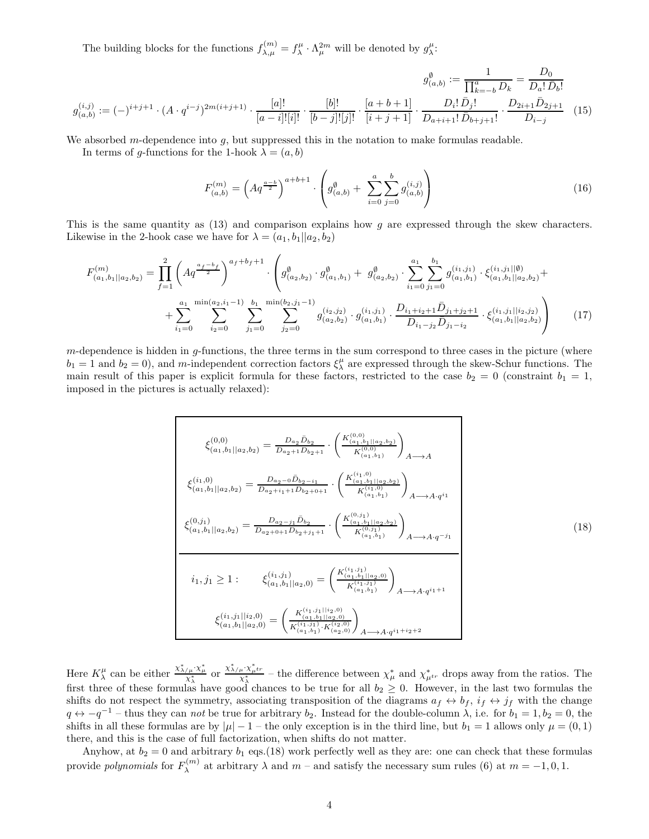The building blocks for the functions  $f_{\lambda,\mu}^{(m)} = f_{\lambda}^{\mu} \cdot \Lambda_{\mu}^{2m}$  will be denoted by  $g_{\lambda}^{\mu}$ :

$$
g_{(a,b)}^{(i,j)} := (-)^{i+j+1} \cdot (A \cdot q^{i-j})^{2m(i+j+1)} \cdot \frac{[a]!}{[a-i]![i]!} \cdot \frac{[b]!}{[b-j]![j]!} \cdot \frac{[a+b+1]}{[i+j+1]} \cdot \frac{D_i! \bar{D}_j!}{D_{a+i+1}! \bar{D}_{b+j+1}!} \cdot \frac{D_{2i+1} \bar{D}_{2j+1}}{D_{i-j}} \tag{15}
$$

We absorbed m-dependence into  $q$ , but suppressed this in the notation to make formulas readable.

In terms of g-functions for the 1-hook  $\lambda = (a, b)$ 

$$
F_{(a,b)}^{(m)} = \left(Aq^{\frac{a-b}{2}}\right)^{a+b+1} \cdot \left(g_{(a,b)}^{\emptyset} + \sum_{i=0}^{a} \sum_{j=0}^{b} g_{(a,b)}^{(i,j)}\right)
$$
(16)

This is the same quantity as (13) and comparison explains how g are expressed through the skew characters. Likewise in the 2-hook case we have for  $\lambda = (a_1, b_1 || a_2, b_2)$ 

$$
F_{(a_1,b_1||a_2,b_2)}^{(m)} = \prod_{f=1}^{2} \left( A q^{\frac{a_f - b_f}{2}} \right)^{a_f + b_f + 1} \cdot \left( g_{(a_2,b_2)}^{\emptyset} \cdot g_{(a_1,b_1)}^{\emptyset} + g_{(a_2,b_2)}^{\emptyset} \cdot \sum_{i_1=0}^{a_1} \sum_{j_1=0}^{b_1} g_{(a_1,b_1)}^{(i_1,j_1)} \cdot \xi_{(a_1,b_1||a_2,b_2)}^{(i_1,j_1||\emptyset)} + \sum_{i_1=0}^{a_1} \sum_{j_2=0}^{\min(a_2,i_1-1)} \sum_{j_1=0}^{b_1} \sum_{j_2=0}^{\min(b_2,j_1-1)} g_{(a_2,b_2)}^{(i_2,j_2)} \cdot g_{(a_1,b_1)}^{(i_1,j_1)} \cdot \frac{D_{i_1+i_2+1} \bar{D}_{j_1+j_2+1}}{D_{i_1-j_2} \bar{D}_{j_1-i_2}} \cdot \xi_{(a_1,b_1||a_2,b_2)}^{(i_1,j_1||i_2,j_2)} \right)
$$
(17)

 $m$ -dependence is hidden in  $g$ -functions, the three terms in the sum correspond to three cases in the picture (where  $b_1 = 1$  and  $b_2 = 0$ ), and m-independent correction factors  $\xi^{\mu}_{\lambda}$  are expressed through the skew-Schur functions. The main result of this paper is explicit formula for these factors, restricted to the case  $b_2 = 0$  (constraint  $b_1 = 1$ , imposed in the pictures is actually relaxed):

$$
\xi_{(a_1,b_1||a_2,b_2)}^{(0,0)} = \frac{D_{a_2}\bar{D}_{b_2}}{D_{a_2+1}\bar{D}_{b_2+1}} \cdot \left(\frac{K_{(a_1,b_1||a_2,b_2)}^{(0,0)}}{K_{(a_1,b_1)}^{(0,0)}}\right)_{A\longrightarrow A}
$$
\n
$$
\xi_{(a_1,b_1||a_2,b_2)}^{(i_1,0)} = \frac{D_{a_2-0}\bar{D}_{b_2-i_1}}{D_{a_2+i_1+1}\bar{D}_{b_2+0+1}} \cdot \left(\frac{K_{(a_1,b_1||a_2,b_2)}^{(i_1,0)}}{K_{(a_1,b_1)}^{(i_1,0)}}\right)_{A\longrightarrow A\cdot q^{i_1}}
$$
\n
$$
\xi_{(a_1,b_1||a_2,b_2)}^{(0,j_1)} = \frac{D_{a_2-j_1}\bar{D}_{b_2}}{D_{a_2+0+1}\bar{D}_{b_2+j_1+1}} \cdot \left(\frac{K_{(a_1,b_1||a_2,b_2)}^{(0,j_1)}}{K_{(a_1,b_1)}^{(0,j_1)}}\right)_{A\longrightarrow A\cdot q^{-j_1}}
$$
\n
$$
i_1, j_1 \geq 1: \qquad \xi_{(a_1,b_1||a_2,0)}^{(i_1, j_1)} = \left(\frac{K_{(a_1,b_1||a_2,0)}^{(i_1, j_1)}}{K_{(a_1,b_1)}^{(i_1, j_1)}}\right)_{A\longrightarrow A\cdot q^{i_1+1}}
$$
\n
$$
\xi_{(a_1,b_1||a_2,0)}^{(i_1, j_1||i_2,0)} = \left(\frac{K_{(a_1,b_1||a_2,0)}^{(i_1, j_1||i_2,0)}}{K_{(a_1,b_1)}^{(i_1, j_1)}K_{(a_2,0)}^{(i_2,0)}}\right)_{A\longrightarrow A\cdot q^{i_1+1}} \cdot i_2 + 2
$$
\n(18)

Here  $K_{\lambda}^{\mu}$  can be either  $\frac{x_{\lambda/\mu}^{*} \cdot x_{\mu}^{*}}{x_{\lambda}^{*}}$  or  $\frac{x_{\lambda/\mu}^{*} \cdot x_{\mu}^{*} \cdot x_{\mu}^{*}}{x_{\lambda}^{*}}$  – the difference between  $\chi_{\mu}^{*}$  and  $\chi_{\mu}^{*}$  drops away from the ratios. The first three of these formulas have good chances to be true for all  $b_2 \geq 0$ . However, in the last two formulas the shifts do not respect the symmetry, associating transposition of the diagrams  $a_f \leftrightarrow b_f$ ,  $i_f \leftrightarrow j_f$  with the change  $q \leftrightarrow -q^{-1}$  – thus they can *not* be true for arbitrary  $b_2$ . Instead for the double-column  $\lambda$ , i.e. for  $b_1 = 1, b_2 = 0$ , the shifts in all these formulas are by  $|\mu| - 1$  – the only exception is in the third line, but  $b_1 = 1$  allows only  $\mu = (0, 1)$ there, and this is the case of full factorization, when shifts do not matter.

Anyhow, at  $b_2 = 0$  and arbitrary  $b_1$  eqs.(18) work perfectly well as they are: one can check that these formulas provide *polynomials* for  $F_{\lambda}^{(m)}$  $\lambda_{\lambda}^{(m)}$  at arbitrary  $\lambda$  and  $m$  – and satisfy the necessary sum rules (6) at  $m = -1, 0, 1$ .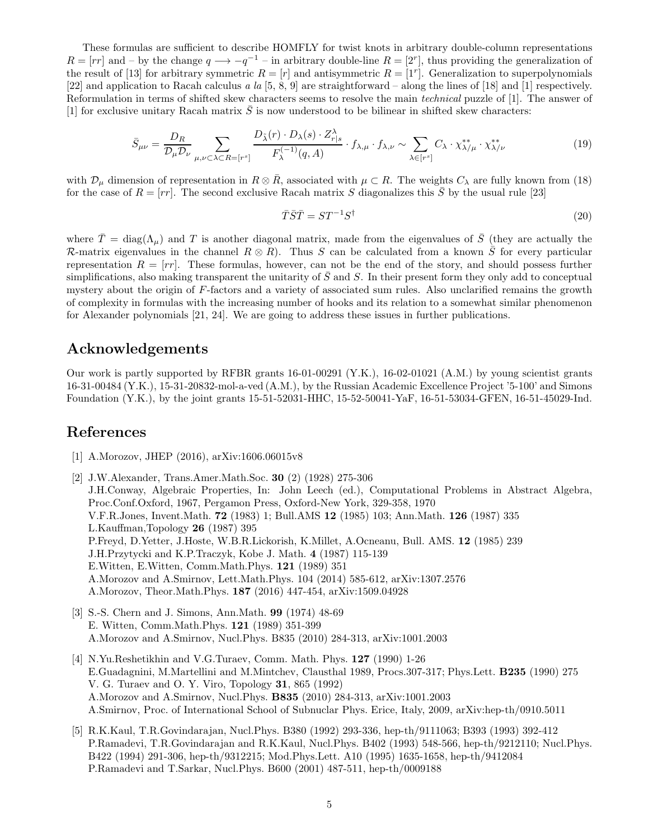These formulas are sufficient to describe HOMFLY for twist knots in arbitrary double-column representations  $R = [rr]$  and – by the change  $q \longrightarrow -q^{-1}$  – in arbitrary double-line  $R = [2^r]$ , thus providing the generalization of the result of [13] for arbitrary symmetric  $R = [r]$  and antisymmetric  $R = [1^r]$ . Generalization to superpolynomials [22] and application to Racah calculus a la  $[5, 8, 9]$  are straightforward – along the lines of [18] and [1] respectively. Reformulation in terms of shifted skew characters seems to resolve the main technical puzzle of [1]. The answer of [1] for exclusive unitary Racah matrix  $\overline{S}$  is now understood to be bilinear in shifted skew characters:

$$
\bar{S}_{\mu\nu} = \frac{D_R}{\mathcal{D}_{\mu}\mathcal{D}_{\nu}} \sum_{\mu,\nu \subset \lambda \subset R = [r^s]} \frac{D_{\tilde{\lambda}}(r) \cdot D_{\lambda}(s) \cdot Z^{\lambda}_{r|s}}{F_{\lambda}^{(-1)}(q,A)} \cdot f_{\lambda,\mu} \cdot f_{\lambda,\nu} \sim \sum_{\lambda \in [r^s]} C_{\lambda} \cdot \chi_{\lambda/\mu}^{**} \cdot \chi_{\lambda/\nu}^{**} \tag{19}
$$

with  $\mathcal{D}_{\mu}$  dimension of representation in  $R \otimes \bar{R}$ , associated with  $\mu \subset R$ . The weights  $C_{\lambda}$  are fully known from (18) for the case of  $R = [rr]$ . The second exclusive Racah matrix S diagonalizes this S by the usual rule [23]

$$
\bar{T}\bar{S}\bar{T} = ST^{-1}S^{\dagger} \tag{20}
$$

where  $\bar{T} = \text{diag}(\Lambda_u)$  and T is another diagonal matrix, made from the eigenvalues of  $\bar{S}$  (they are actually the R-matrix eigenvalues in the channel  $R \otimes R$ ). Thus S can be calculated from a known  $\overline{S}$  for every particular representation  $R = [rr]$ . These formulas, however, can not be the end of the story, and should possess further simplifications, also making transparent the unitarity of  $\bar{S}$  and S. In their present form they only add to conceptual mystery about the origin of F-factors and a variety of associated sum rules. Also unclarified remains the growth of complexity in formulas with the increasing number of hooks and its relation to a somewhat similar phenomenon for Alexander polynomials [21, 24]. We are going to address these issues in further publications.

## Acknowledgements

Our work is partly supported by RFBR grants 16-01-00291 (Y.K.), 16-02-01021 (A.M.) by young scientist grants 16-31-00484 (Y.K.), 15-31-20832-mol-a-ved (A.M.), by the Russian Academic Excellence Project '5-100' and Simons Foundation (Y.K.), by the joint grants 15-51-52031-HHC, 15-52-50041-YaF, 16-51-53034-GFEN, 16-51-45029-Ind.

## References

- [1] A.Morozov, JHEP (2016), arXiv:1606.06015v8
- [2] J.W.Alexander, Trans.Amer.Math.Soc. 30 (2) (1928) 275-306 J.H.Conway, Algebraic Properties, In: John Leech (ed.), Computational Problems in Abstract Algebra, Proc.Conf.Oxford, 1967, Pergamon Press, Oxford-New York, 329-358, 1970 V.F.R.Jones, Invent.Math. 72 (1983) 1; Bull.AMS 12 (1985) 103; Ann.Math. 126 (1987) 335 L.Kauffman,Topology 26 (1987) 395 P.Freyd, D.Yetter, J.Hoste, W.B.R.Lickorish, K.Millet, A.Ocneanu, Bull. AMS. 12 (1985) 239 J.H.Przytycki and K.P.Traczyk, Kobe J. Math. 4 (1987) 115-139 E.Witten, E.Witten, Comm.Math.Phys. 121 (1989) 351 A.Morozov and A.Smirnov, Lett.Math.Phys. 104 (2014) 585-612, arXiv:1307.2576 A.Morozov, Theor.Math.Phys. 187 (2016) 447-454, arXiv:1509.04928
- [3] S.-S. Chern and J. Simons, Ann.Math. 99 (1974) 48-69 E. Witten, Comm.Math.Phys. 121 (1989) 351-399 A.Morozov and A.Smirnov, Nucl.Phys. B835 (2010) 284-313, arXiv:1001.2003
- [4] N.Yu.Reshetikhin and V.G.Turaev, Comm. Math. Phys. 127 (1990) 1-26 E.Guadagnini, M.Martellini and M.Mintchev, Clausthal 1989, Procs.307-317; Phys.Lett. B235 (1990) 275 V. G. Turaev and O. Y. Viro, Topology 31, 865 (1992) A.Morozov and A.Smirnov, Nucl.Phys. B835 (2010) 284-313, arXiv:1001.2003 A.Smirnov, Proc. of International School of Subnuclar Phys. Erice, Italy, 2009, arXiv:hep-th/0910.5011
- [5] R.K.Kaul, T.R.Govindarajan, Nucl.Phys. B380 (1992) 293-336, hep-th/9111063; B393 (1993) 392-412 P.Ramadevi, T.R.Govindarajan and R.K.Kaul, Nucl.Phys. B402 (1993) 548-566, hep-th/9212110; Nucl.Phys. B422 (1994) 291-306, hep-th/9312215; Mod.Phys.Lett. A10 (1995) 1635-1658, hep-th/9412084 P.Ramadevi and T.Sarkar, Nucl.Phys. B600 (2001) 487-511, hep-th/0009188